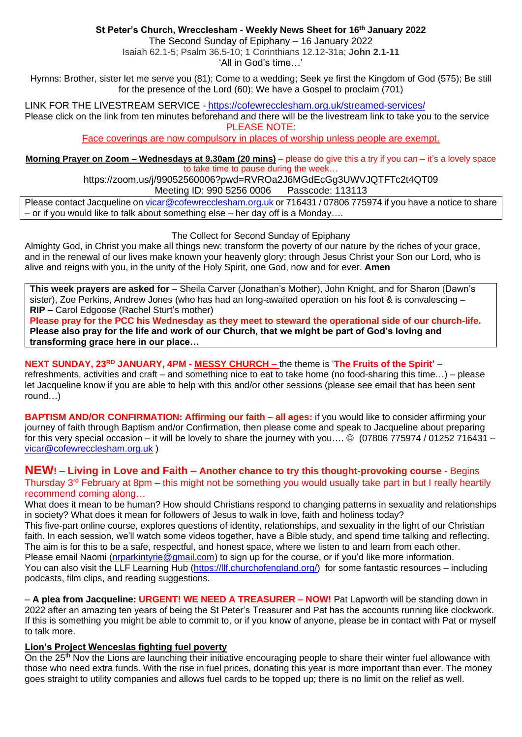## **St Peter's Church, Wrecclesham - Weekly News Sheet for 16th January 2022**

The Second Sunday of Epiphany – 16 January 2022 Isaiah 62.1-5; Psalm 36.5-10; 1 Corinthians 12.12-31a; **John 2.1-11**

'All in God's time…'

Hymns: Brother, sister let me serve you (81); Come to a wedding; Seek ye first the Kingdom of God (575); Be still for the presence of the Lord (60); We have a Gospel to proclaim (701)

LINK FOR THE LIVESTREAM SERVICE - <https://cofewrecclesham.org.uk/streamed-services/> Please click on the link from ten minutes beforehand and there will be the livestream link to take you to the service

PLEASE NOTE:

Face coverings are now compulsory in places of worship unless people are exempt.

**Morning Prayer on Zoom – Wednesdays at 9.30am (20 mins)** – please do give this a try if you can – it's a lovely space to take time to pause during the week…

https://zoom.us/j/99052560006?pwd=RVROa2J6MGdEcGg3UWVJQTFTc2t4QT09 Meeting ID: 990 5256 0006 Passcode: 113113

Please contact Jacqueline on [vicar@cofewrecclesham.org.uk](mailto:vicar@cofewrecclesham.org.uk) or 716431 / 07806 775974 if you have a notice to share – or if you would like to talk about something else – her day off is a Monday….

## The Collect for Second Sunday of Epiphany

Almighty God, in Christ you make all things new: transform the poverty of our nature by the riches of your grace, and in the renewal of our lives make known your heavenly glory; through Jesus Christ your Son our Lord, who is alive and reigns with you, in the unity of the Holy Spirit, one God, now and for ever. **Amen**

**This week prayers are asked for** – Sheila Carver (Jonathan's Mother), John Knight, and for Sharon (Dawn's sister), Zoe Perkins, Andrew Jones (who has had an long-awaited operation on his foot & is convalescing – **RIP –** Carol Edgoose (Rachel Sturt's mother)

**Please pray for the PCC his Wednesday as they meet to steward the operational side of our church-life. Please also pray for the life and work of our Church, that we might be part of God's loving and transforming grace here in our place…**

# **NEXT SUNDAY, 23RD JANUARY, 4PM - MESSY CHURCH –** the theme is '**The Fruits of the Spirit'** –

refreshments, activities and craft – and something nice to eat to take home (no food-sharing this time…) – please let Jacqueline know if you are able to help with this and/or other sessions (please see email that has been sent round…)

**BAPTISM AND/OR CONFIRMATION: Affirming our faith – all ages:** if you would like to consider affirming your journey of faith through Baptism and/or Confirmation, then please come and speak to Jacqueline about preparing for this very special occasion – it will be lovely to share the journey with you….  $\odot$  (07806 775974 / 01252 716431 – [vicar@cofewrecclesham.org.uk](mailto:vicar@cofewrecclesham.org.uk) )

# **NEW! – Living in Love and Faith – Another chance to try this thought-provoking course** - Begins

Thursday 3rd February at 8pm **–** this might not be something you would usually take part in but I really heartily recommend coming along…

What does it mean to be human? How should Christians respond to changing patterns in sexuality and relationships in society? What does it mean for followers of Jesus to walk in love, faith and holiness today? This five-part online course, explores questions of identity, relationships, and sexuality in the light of our Christian faith. In each session, we'll watch some videos together, have a Bible study, and spend time talking and reflecting. The aim is for this to be a safe, respectful, and honest space, where we listen to and learn from each other. Please email Naomi [\(nrparkintyrie@gmail.com\)](mailto:nrparkintyrie@gmail.com) to sign up for the course, or if you'd like more information. You can also visit the LLF Learning Hub [\(https://llf.churchofengland.org/\)](https://llf.churchofengland.org/) for some fantastic resources – including podcasts, film clips, and reading suggestions.

– **A plea from Jacqueline: URGENT! WE NEED A TREASURER – NOW!** Pat Lapworth will be standing down in 2022 after an amazing ten years of being the St Peter's Treasurer and Pat has the accounts running like clockwork. If this is something you might be able to commit to, or if you know of anyone, please be in contact with Pat or myself to talk more.

## **Lion's Project Wenceslas fighting fuel poverty**

On the 25<sup>th</sup> Nov the Lions are launching their initiative encouraging people to share their winter fuel allowance with those who need extra funds. With the rise in fuel prices, donating this year is more important than ever. The money goes straight to utility companies and allows fuel cards to be topped up; there is no limit on the relief as well.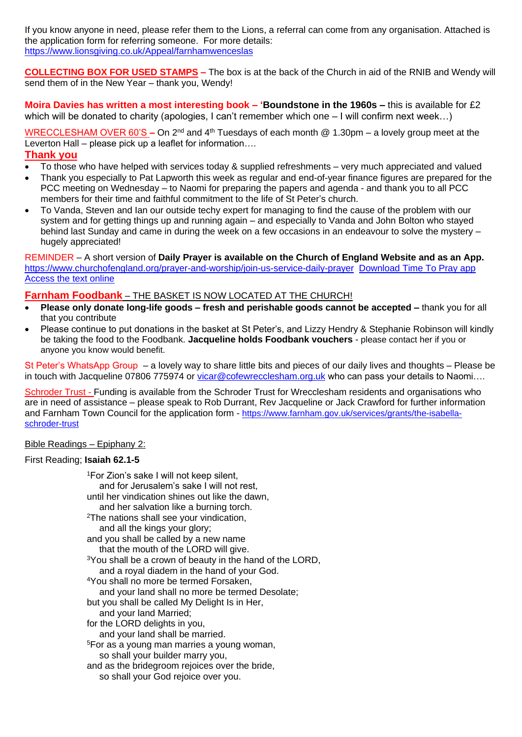If you know anyone in need, please refer them to the Lions, a referral can come from any organisation. Attached is the application form for referring someone. For more details: [https://www.lionsgiving.co.uk/Appeal/farnhamwenceslas](https://emea01.safelinks.protection.outlook.com/?url=https%3A%2F%2Fwww.lionsgiving.co.uk%2FAppeal%2Ffarnhamwenceslas&data=04%7C01%7C%7C670ac8773ce941dc31c808d9ae5c7915%7C84df9e7fe9f640afb435aaaaaaaaaaaa%7C1%7C0%7C637732534462155920%7CUnknown%7CTWFpbGZsb3d8eyJWIjoiMC4wLjAwMDAiLCJQIjoiV2luMzIiLCJBTiI6Ik1haWwiLCJXVCI6Mn0%3D%7C3000&sdata=jYT55VrvJZ%2FRUdhMQwgg2DCNmThy7EdE8MyPg1JZd9o%3D&reserved=0)

**COLLECTING BOX FOR USED STAMPS –** The box is at the back of the Church in aid of the RNIB and Wendy will send them of in the New Year – thank you, Wendy!

**Moira Davies has written a most interesting book – 'Boundstone in the 1960s –** this is available for £2 which will be donated to charity (apologies, I can't remember which one – I will confirm next week...)

WRECCLESHAM OVER 60'S – On 2<sup>nd</sup> and 4<sup>th</sup> Tuesdays of each month @ 1.30pm – a lovely group meet at the Leverton Hall – please pick up a leaflet for information….

## **Thank you**

- To those who have helped with services today & supplied refreshments very much appreciated and valued
- Thank you especially to Pat Lapworth this week as regular and end-of-year finance figures are prepared for the PCC meeting on Wednesday – to Naomi for preparing the papers and agenda - and thank you to all PCC members for their time and faithful commitment to the life of St Peter's church.
- To Vanda, Steven and Ian our outside techy expert for managing to find the cause of the problem with our system and for getting things up and running again – and especially to Vanda and John Bolton who stayed behind last Sunday and came in during the week on a few occasions in an endeavour to solve the mystery – hugely appreciated!

#### REMINDER – A short version of **Daily Prayer is available on the Church of England Website and as an App.** <https://www.churchofengland.org/prayer-and-worship/join-us-service-daily-prayer> [Download Time To Pray app](https://www.chpublishing.co.uk/apps/time-to-pray)  [Access the text online](https://www.churchofengland.org/prayer-and-worship/join-us-in-daily-prayer/prayer-during-day-contemporary-Saturday-30-January-2021)

## **Farnham Foodbank** – THE BASKET IS NOW LOCATED AT THE CHURCH!

- **Please only donate long-life goods – fresh and perishable goods cannot be accepted –** thank you for all that you contribute
- Please continue to put donations in the basket at St Peter's, and Lizzy Hendry & Stephanie Robinson will kindly be taking the food to the Foodbank. **Jacqueline holds Foodbank vouchers** - please contact her if you or anyone you know would benefit.

St Peter's WhatsApp Group – a lovely way to share little bits and pieces of our daily lives and thoughts – Please be in touch with Jacqueline 07806 775974 or [vicar@cofewrecclesham.org.uk](mailto:vicar@cofewrecclesham.org.uk) who can pass your details to Naomi....

Schroder Trust - Funding is available from the Schroder Trust for Wrecclesham residents and organisations who are in need of assistance – please speak to Rob Durrant, Rev Jacqueline or Jack Crawford for further information and Farnham Town Council for the application form - [https://www.farnham.gov.uk/services/grants/the-isabella](https://www.farnham.gov.uk/services/grants/the-isabella-schroder-trust)[schroder-trust](https://www.farnham.gov.uk/services/grants/the-isabella-schroder-trust)

#### Bible Readings – Epiphany 2:

#### First Reading; **Isaiah 62.1-5**

<sup>1</sup>For Zion's sake I will not keep silent, and for Jerusalem's sake I will not rest, until her vindication shines out like the dawn, and her salvation like a burning torch. <sup>2</sup>The nations shall see your vindication, and all the kings your glory; and you shall be called by a new name that the mouth of the LORD will give. <sup>3</sup>You shall be a crown of beauty in the hand of the LORD, and a royal diadem in the hand of your God. <sup>4</sup>You shall no more be termed Forsaken, and your land shall no more be termed Desolate; but you shall be called My Delight Is in Her, and your land Married; for the LORD delights in you, and your land shall be married. <sup>5</sup>For as a young man marries a young woman, so shall your builder marry you, and as the bridegroom rejoices over the bride, so shall your God rejoice over you.